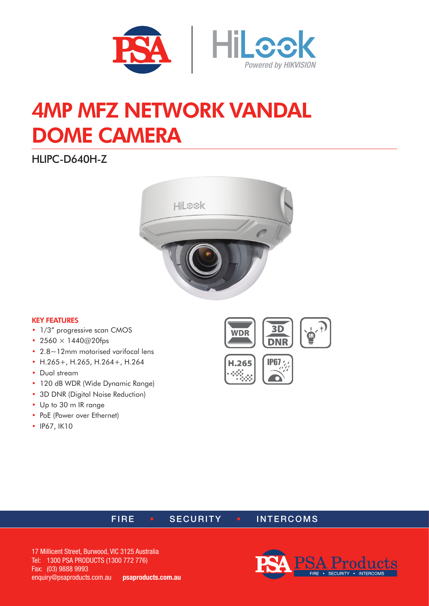

# 4MP MFZ NETWORK VANDAL DOME CAMERA

HLIPC-D640H-Z



#### KEY FEATURES

- 1/3" progressive scan CMOS
- 2560  $\times$  1440@20fps
- 2.8~12mm motorised varifocal lens
- H.265+, H.265, H.264+, H.264
- Dual stream
- 120 dB WDR (Wide Dynamic Range)
- 3D DNR (Digital Noise Reduction)
- Up to 30 m IR range
- PoE (Power over Ethernet)
- IP67, IK10







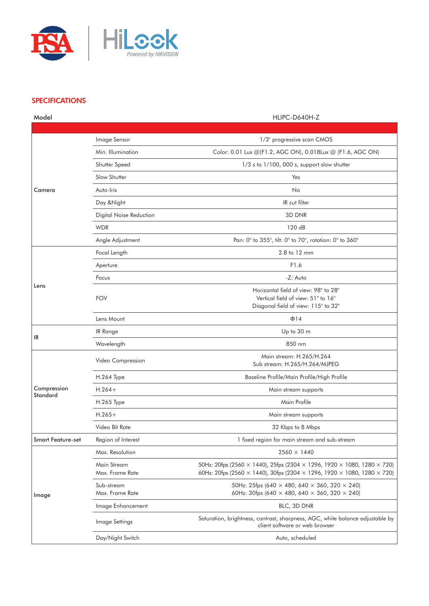

### **SPECIFICATIONS**

| Model                          |                                | HLIPC-D640H-Z                                                                                                                                                                                              |
|--------------------------------|--------------------------------|------------------------------------------------------------------------------------------------------------------------------------------------------------------------------------------------------------|
|                                |                                |                                                                                                                                                                                                            |
| Camera                         | Image Sensor                   | 1/3" progressive scan CMOS                                                                                                                                                                                 |
|                                | Min. Illumination              | Color: 0.01 Lux @(F1.2, AGC ON), 0.018Lux @ (F1.6, AGC ON)                                                                                                                                                 |
|                                | Shutter Speed                  | $1/3$ s to $1/100$ , 000 s, support slow shutter                                                                                                                                                           |
|                                | Slow Shutter                   | Yes                                                                                                                                                                                                        |
|                                | Auto-Iris                      | No                                                                                                                                                                                                         |
|                                | Day & Night                    | IR cut filter                                                                                                                                                                                              |
|                                | Digital Noise Reduction        | 3D DNR                                                                                                                                                                                                     |
|                                | <b>WDR</b>                     | 120 dB                                                                                                                                                                                                     |
|                                | Angle Adjustment               | Pan: 0° to 355°, tilt: 0° to 70°, rotation: 0° to 360°                                                                                                                                                     |
|                                | Focal Length                   | 2.8 to 12 mm                                                                                                                                                                                               |
|                                | Aperture                       | F1.6                                                                                                                                                                                                       |
|                                | Focus                          | -Z: Auto                                                                                                                                                                                                   |
| Lens                           | <b>FOV</b>                     | Horizontal field of view: 98° to 28°<br>Vertical field of view: 51° to 16°<br>Diagonal field of view: 115° to 32°                                                                                          |
|                                | Lens Mount                     | $\Phi$ 14                                                                                                                                                                                                  |
| IR                             | IR Range                       | Up to 30 m                                                                                                                                                                                                 |
|                                | Wavelength                     | 850 nm                                                                                                                                                                                                     |
| Compression<br><b>Standard</b> | Video Compression              | Main stream: H.265/H.264<br>Sub stream: H.265/H.264/MJPEG                                                                                                                                                  |
|                                | H.264 Type                     | Baseline Profile/Main Profile/High Profile                                                                                                                                                                 |
|                                | $H.264+$                       | Main stream supports                                                                                                                                                                                       |
|                                | H.265 Type                     | Main Profile                                                                                                                                                                                               |
|                                | $H.265+$                       | Main stream supports                                                                                                                                                                                       |
|                                | Video Bit Rate                 | 32 Kbps to 8 Mbps                                                                                                                                                                                          |
| <b>Smart Feature-set</b>       | Region of Interest             | 1 fixed region for main stream and sub-stream                                                                                                                                                              |
| Image                          | Max. Resolution                | $2560 \times 1440$                                                                                                                                                                                         |
|                                | Main Stream<br>Max. Frame Rate | 50Hz: 20fps (2560 $\times$ 1440), 25fps (2304 $\times$ 1296, 1920 $\times$ 1080, 1280 $\times$ 720)<br>60Hz: 20fps (2560 $\times$ 1440), 30fps (2304 $\times$ 1296, 1920 $\times$ 1080, 1280 $\times$ 720) |
|                                | Sub-stream<br>Max. Frame Rate  | 50Hz: 25fps (640 $\times$ 480, 640 $\times$ 360, 320 $\times$ 240)<br>60Hz: 30fps (640 $\times$ 480, 640 $\times$ 360, 320 $\times$ 240)                                                                   |
|                                | Image Enhancement              | BLC, 3D DNR                                                                                                                                                                                                |
|                                | Image Settings                 | Saturation, brightness, contrast, sharpness, AGC, white balance adjustable by<br>client software or web browser                                                                                            |
|                                | Day/Night Switch               | Auto, scheduled                                                                                                                                                                                            |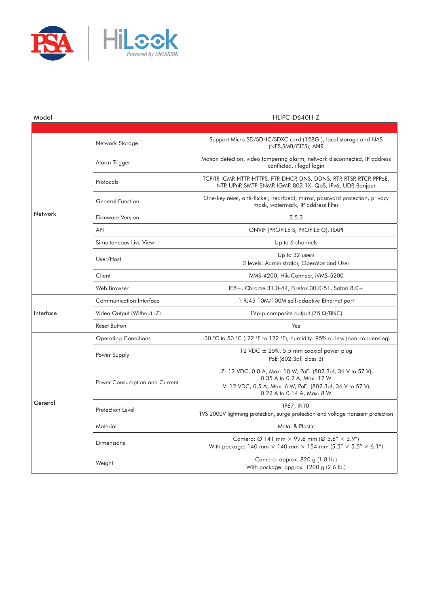

| Model     |                               | HLIPC-D640H-Z                                                                                                                                                                         |
|-----------|-------------------------------|---------------------------------------------------------------------------------------------------------------------------------------------------------------------------------------|
|           |                               |                                                                                                                                                                                       |
| Network   | Network Storage               | Support Micro SD/SDHC/SDXC card (128G), local storage and NAS<br>(NFS, SMB/CIFS), ANR                                                                                                 |
|           | Alarm Trigger                 | Motion detection, video tampering alarm, network disconnected, IP address<br>conflicted, illegal login                                                                                |
|           | Protocols                     | TCP/IP, ICMP, HTTP, HTTPS, FTP, DHCP, DNS, DDNS, RTP, RTSP, RTCP, PPPoE,<br>NTP, UPnP, SMTP, SNMP, IGMP, 802.1X, QoS, IPv6, UDP, Bonjour                                              |
|           | <b>General Function</b>       | One-key reset, anti-flicker, heartbeat, mirror, password protection, privacy<br>mask, watermark, IP address filter                                                                    |
|           | Firmware Version              | 5.5.3                                                                                                                                                                                 |
|           | API                           | ONVIF (PROFILE S, PROFILE G), ISAPI                                                                                                                                                   |
|           | Simultaneous Live View        | Up to 6 channels                                                                                                                                                                      |
|           | User/Host                     | Up to 32 users<br>3 levels: Administrator, Operator and User                                                                                                                          |
|           | Client                        | iVMS-4200, Hik-Connect, iVMS-5200                                                                                                                                                     |
|           | Web Browser                   | IE8+, Chrome 31.0-44, Firefox 30.0-51, Safari 8.0+                                                                                                                                    |
| Interface | Communication Interface       | 1 RJ45 10M/100M self-adaptive Ethernet port                                                                                                                                           |
|           | Video Output (Without -Z)     | 1Vp-p composite output (75 $\Omega$ /BNC)                                                                                                                                             |
|           | <b>Reset Button</b>           | Yes                                                                                                                                                                                   |
| General   | <b>Operating Conditions</b>   | -30 °C to 50 °C (-22 °F to 122 °F), humidity: 95% or less (non-condensing)                                                                                                            |
|           | Power Supply                  | 12 VDC $\pm$ 25%, 5.5 mm coaxial power plug<br>PoE (802.3af, class 3)                                                                                                                 |
|           | Power Consumption and Current | -Z: 12 VDC, 0.8 A, Max: 10 W; PoE: (802.3af, 36 V to 57 V),<br>0.35 A to 0.2 A, Max: 12 W<br>-V: 12 VDC, 0.5 A, Max: 6 W; PoE: (802.3af, 36 V to 57 V),<br>0.22 A to 0.14 A, Max: 8 W |
|           | Protection Level              | IP67, IK10<br>TVS 2000V lightning protection, surge protection and voltage transient protection                                                                                       |
|           | Material                      | Metal & Plastic                                                                                                                                                                       |
|           | Dimensions                    | Camera: $\varnothing$ 141 mm $\times$ 99.6 mm ( $\varnothing$ 5.6" $\times$ 3.9")<br>With package: 140 mm $\times$ 140 mm $\times$ 154 mm (5.5" $\times$ 5.5" $\times$ 6.1")          |
|           | Weight                        | Camera: approx. 820 g (1.8 lb.)<br>With package: approx. 1200 g (2.6 lb.)                                                                                                             |